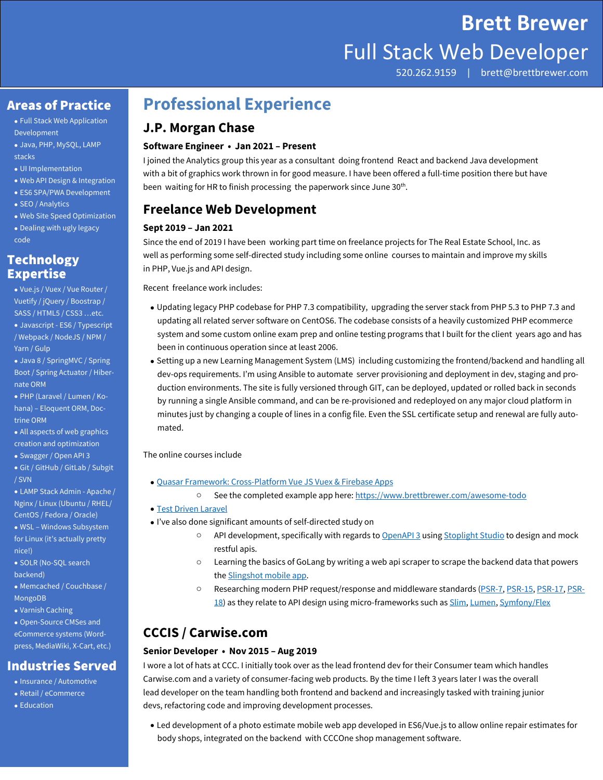# **Brett Brewer** Full Stack Web Developer

520.262.9159 | brett@brettbrewer.com

#### Areas of Practice

 Full Stack Web Application Development

- Java, PHP, MySQL, LAMP stacks
- UI Implementation
- Web API Design & Integration
- ES6 SPA/PWA Development
- SEO / Analytics
- Web Site Speed Optimization Dealing with ugly legacy code

#### **Technology** Expertise

 Vue.js / Vuex / Vue Router / Vuetify / jQuery / Boostrap / SASS / HTML5 / CSS3 …etc. Javascript - ES6 / Typescript / Webpack / NodeJS / NPM / Yarn / Gulp

 Java 8 / SpringMVC / Spring Boot / Spring Actuator / Hibernate ORM

 PHP (Laravel / Lumen / Kohana) – Eloquent ORM, Doctrine ORM

 All aspects of web graphics creation and optimization

Swagger / Open API 3

 Git / GitHub / GitLab / Subgit / SVN

 LAMP Stack Admin - Apache / Nginx / Linux (Ubuntu / RHEL/ CentOS / Fedora / Oracle) WSL – Windows Subsystem for Linux (it's actually pretty

nice!) • SOLR (No-SOL search

backend)

- Memcached / Couchbase /
- MongoDB Varnish Caching
- 

 Open-Source CMSes and eCommerce systems (Wordpress, MediaWiki, X-Cart, etc.)

#### Industries Served

- Insurance / Automotive
- Retail / eCommerce
- Education

## **Professional Experience**

#### **J.P. Morgan Chase**

#### **Software Engineer • Jan 2021 – Present**

I joined the Analytics group this year as a consultant doing frontend React and backend Java development with a bit of graphics work thrown in for good measure. I have been offered a full-time position there but have been waiting for HR to finish processing the paperwork since June 30<sup>th</sup>.

#### **Freelance Web Development**

#### **Sept 2019 – Jan 2021**

Since the end of 2019 I have been working part time on freelance projects for The Real Estate School, Inc. as well as performing some self-directed study including some online courses to maintain and improve my skills in PHP, Vue.js and API design.

Recent freelance work includes:

- Updating legacy PHP codebase for PHP 7.3 compatibility, upgrading the server stack from PHP 5.3 to PHP 7.3 and updating all related server software on CentOS6. The codebase consists of a heavily customized PHP ecommerce system and some custom online exam prep and online testing programs that I built for the client years ago and has been in continuous operation since at least 2006.
- Setting up a new Learning Management System (LMS) including customizing the frontend/backend and handling all dev-ops requirements. I'm using Ansible to automate server provisioning and deployment in dev, staging and production environments. The site is fully versioned through GIT, can be deployed, updated or rolled back in seconds by running a single Ansible command, and can be re-provisioned and redeployed on any major cloud platform in minutes just by changing a couple of lines in a config file. Even the SSL certificate setup and renewal are fully automated.

The online courses include

- Quasar Framework: Cross-Platform Vue JS Vuex & Firebase Apps
	- o See the completed example app here: https://www.brettbrewer.com/awesome-todo
- **Test Driven Laravel**
- I've also done significant amounts of self-directed study on
	- $\circ$  API development, specifically with regards to OpenAPI 3 using Stoplight Studio to design and mock restful apis.
	- o Learning the basics of GoLang by writing a web api scraper to scrape the backend data that powers the Slingshot mobile app.
	- o Researching modern PHP request/response and middleware standards (PSR-7, PSR-15, PSR-17, PSR-18) as they relate to API design using micro-frameworks such as Slim, Lumen, Symfony/Flex

### **CCCIS / Carwise.com**

#### **Senior Developer • Nov 2015 – Aug 2019**

I wore a lot of hats at CCC. I initially took over as the lead frontend dev for their Consumer team which handles Carwise.com and a variety of consumer-facing web products. By the time I left 3 years later I was the overall lead developer on the team handling both frontend and backend and increasingly tasked with training junior devs, refactoring code and improving development processes.

 Led development of a photo estimate mobile web app developed in ES6/Vue.js to allow online repair estimates for body shops, integrated on the backend with CCCOne shop management software.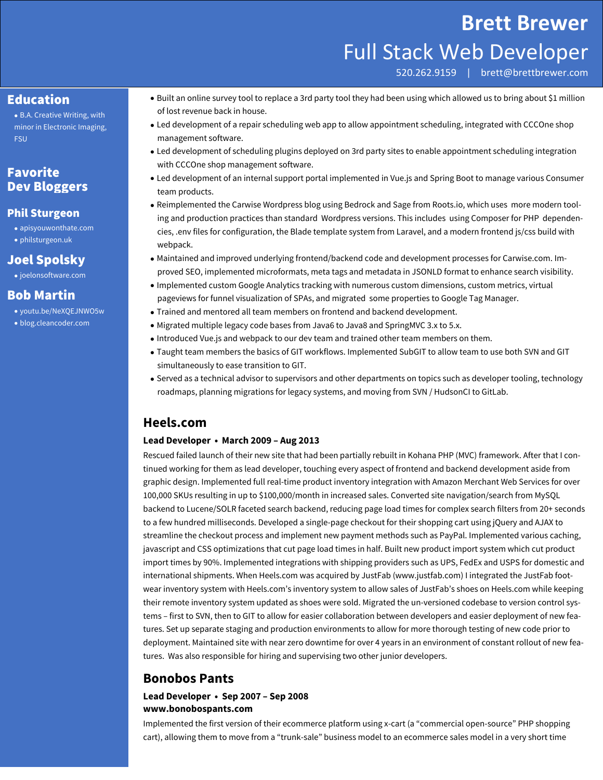### **Brett Brewer**

## Full Stack Web Developer

520.262.9159 | brett@brettbrewer.com

#### Education

 B.A. Creative Writing, with minor in Electronic Imaging, FSU

#### Favorite Dev Bloggers

#### Phil Sturgeon

 apisyouwonthate.com philsturgeon.uk

#### Joel Spolsky

• joelonsoftware.com

#### Bob Martin

- youtu.be/NeXQEJNWO5w
- blog.cleancoder.com
- Built an online survey tool to replace a 3rd party tool they had been using which allowed us to bring about \$1 million of lost revenue back in house.
- Led development of a repair scheduling web app to allow appointment scheduling, integrated with CCCOne shop management software.
- Led development of scheduling plugins deployed on 3rd party sites to enable appointment scheduling integration with CCCOne shop management software.
- Led development of an internal support portal implemented in Vue.js and Spring Boot to manage various Consumer team products.
- Reimplemented the Carwise Wordpress blog using Bedrock and Sage from Roots.io, which uses more modern tooling and production practices than standard Wordpress versions. This includes using Composer for PHP dependencies, .env files for configuration, the Blade template system from Laravel, and a modern frontend js/css build with webpack.
- Maintained and improved underlying frontend/backend code and development processes for Carwise.com. Improved SEO, implemented microformats, meta tags and metadata in JSONLD format to enhance search visibility.
- Implemented custom Google Analytics tracking with numerous custom dimensions, custom metrics, virtual pageviews for funnel visualization of SPAs, and migrated some properties to Google Tag Manager.
- Trained and mentored all team members on frontend and backend development.
- Migrated multiple legacy code bases from Java6 to Java8 and SpringMVC 3.x to 5.x.
- Introduced Vue.js and webpack to our dev team and trained other team members on them.
- Taught team members the basics of GIT workflows. Implemented SubGIT to allow team to use both SVN and GIT simultaneously to ease transition to GIT.
- Served as a technical advisor to supervisors and other departments on topics such as developer tooling, technology roadmaps, planning migrations for legacy systems, and moving from SVN / HudsonCI to GitLab.

#### **Heels.com**

#### **Lead Developer • March 2009 – Aug 2013**

Rescued failed launch of their new site that had been partially rebuilt in Kohana PHP (MVC) framework. After that I continued working for them as lead developer, touching every aspect of frontend and backend development aside from graphic design. Implemented full real-time product inventory integration with Amazon Merchant Web Services for over 100,000 SKUs resulting in up to \$100,000/month in increased sales. Converted site navigation/search from MySQL backend to Lucene/SOLR faceted search backend, reducing page load times for complex search filters from 20+ seconds to a few hundred milliseconds. Developed a single-page checkout for their shopping cart using jQuery and AJAX to streamline the checkout process and implement new payment methods such as PayPal. Implemented various caching, javascript and CSS optimizations that cut page load times in half. Built new product import system which cut product import times by 90%. Implemented integrations with shipping providers such as UPS, FedEx and USPS for domestic and international shipments. When Heels.com was acquired by JustFab (www.justfab.com) I integrated the JustFab footwear inventory system with Heels.com's inventory system to allow sales of JustFab's shoes on Heels.com while keeping their remote inventory system updated as shoes were sold. Migrated the un-versioned codebase to version control systems – first to SVN, then to GIT to allow for easier collaboration between developers and easier deployment of new features. Set up separate staging and production environments to allow for more thorough testing of new code prior to deployment. Maintained site with near zero downtime for over 4 years in an environment of constant rollout of new features. Was also responsible for hiring and supervising two other junior developers.

#### **Bonobos Pants**

#### **Lead Developer • Sep 2007 – Sep 2008 www.bonobospants.com**

Implemented the first version of their ecommerce platform using x-cart (a "commercial open-source" PHP shopping cart), allowing them to move from a "trunk-sale" business model to an ecommerce sales model in a very short time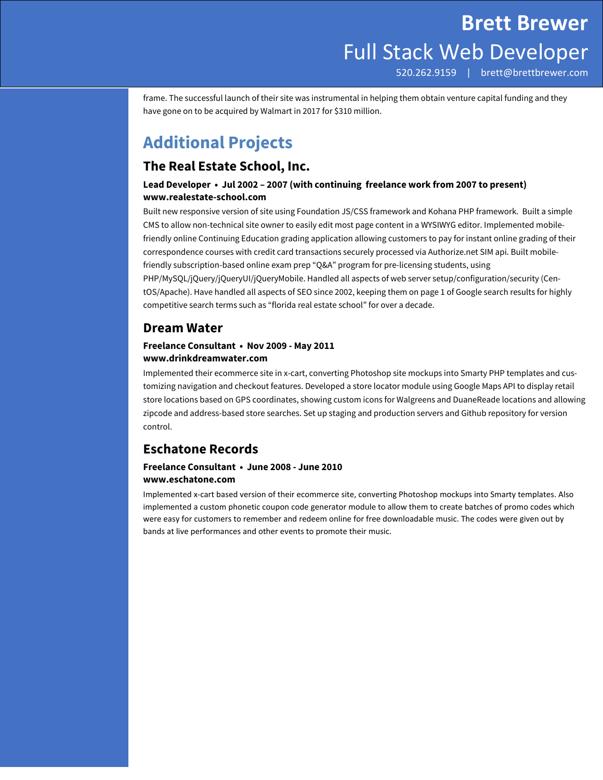frame. The successful launch of their site was instrumental in helping them obtain venture capital funding and they have gone on to be acquired by Walmart in 2017 for \$310 million.

## **Additional Projects**

#### **The Real Estate School, Inc.**

#### **Lead Developer • Jul 2002 – 2007 (with continuing freelance work from 2007 to present) www.realestate-school.com**

Built new responsive version of site using Foundation JS/CSS framework and Kohana PHP framework. Built a simple CMS to allow non-technical site owner to easily edit most page content in a WYSIWYG editor. Implemented mobilefriendly online Continuing Education grading application allowing customers to pay for instant online grading of their correspondence courses with credit card transactions securely processed via Authorize.net SIM api. Built mobilefriendly subscription-based online exam prep "Q&A" program for pre-licensing students, using PHP/MySQL/jQuery/jQueryUI/jQueryMobile. Handled all aspects of web server setup/configuration/security (CentOS/Apache). Have handled all aspects of SEO since 2002, keeping them on page 1 of Google search results for highly competitive search terms such as "florida real estate school" for over a decade.

#### **Dream Water**

#### **Freelance Consultant • Nov 2009 - May 2011 www.drinkdreamwater.com**

Implemented their ecommerce site in x-cart, converting Photoshop site mockups into Smarty PHP templates and customizing navigation and checkout features. Developed a store locator module using Google Maps API to display retail store locations based on GPS coordinates, showing custom icons for Walgreens and DuaneReade locations and allowing zipcode and address-based store searches. Set up staging and production servers and Github repository for version control.

#### **Eschatone Records**

#### **Freelance Consultant • June 2008 - June 2010 www.eschatone.com**

Implemented x‐cart based version of their ecommerce site, converting Photoshop mockups into Smarty templates. Also implemented a custom phonetic coupon code generator module to allow them to create batches of promo codes which were easy for customers to remember and redeem online for free downloadable music. The codes were given out by bands at live performances and other events to promote their music.